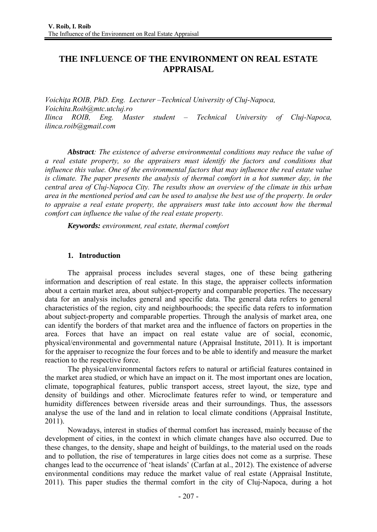# **THE INFLUENCE OF THE ENVIRONMENT ON REAL ESTATE APPRAISAL**

*Voichiţa ROIB, PhD. Eng. Lecturer –Technical University of Cluj-Napoca, Voichita.Roib@mtc.utcluj.ro Ilinca ROIB, Eng. Master student – Technical University of Cluj-Napoca, ilinca.roib@gmail.com* 

*Abstract: The existence of adverse environmental conditions may reduce the value of a real estate property, so the appraisers must identify the factors and conditions that influence this value. One of the environmental factors that may influence the real estate value is climate. The paper presents the analysis of thermal comfort in a hot summer day, in the central area of Cluj-Napoca City. The results show an overview of the climate in this urban area in the mentioned period and can be used to analyse the best use of the property. In order to appraise a real estate property, the appraisers must take into account how the thermal comfort can influence the value of the real estate property.* 

*Keywords: environment, real estate, thermal comfort* 

# **1. Introduction**

The appraisal process includes several stages, one of these being gathering information and description of real estate. In this stage, the appraiser collects information about a certain market area, about subject-property and comparable properties. The necessary data for an analysis includes general and specific data. The general data refers to general characteristics of the region, city and neighbourhoods; the specific data refers to information about subject-property and comparable properties. Through the analysis of market area, one can identify the borders of that market area and the influence of factors on properties in the area. Forces that have an impact on real estate value are of social, economic, physical/environmental and governmental nature (Appraisal Institute, 2011). It is important for the appraiser to recognize the four forces and to be able to identify and measure the market reaction to the respective force.

The physical/environmental factors refers to natural or artificial features contained in the market area studied, or which have an impact on it. The most important ones are location, climate, topographical features, public transport access, street layout, the size, type and density of buildings and other. Microclimate features refer to wind, or temperature and humidity differences between riverside areas and their surroundings. Thus, the assessors analyse the use of the land and in relation to local climate conditions (Appraisal Institute, 2011).

Nowadays, interest in studies of thermal comfort has increased, mainly because of the development of cities, in the context in which climate changes have also occurred. Due to these changes, to the density, shape and height of buildings, to the material used on the roads and to pollution, the rise of temperatures in large cities does not come as a surprise. These changes lead to the occurrence of 'heat islands' (Carfan at al., 2012). The existence of adverse environmental conditions may reduce the market value of real estate (Appraisal Institute, 2011). This paper studies the thermal comfort in the city of Cluj-Napoca, during a hot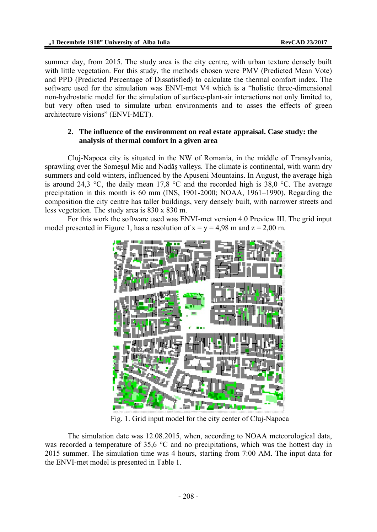summer day, from 2015. The study area is the city centre, with urban texture densely built with little vegetation. For this study, the methods chosen were PMV (Predicted Mean Vote) and PPD (Predicted Percentage of Dissatisfied) to calculate the thermal comfort index. The software used for the simulation was ENVI-met V4 which is a "holistic three-dimensional non-hydrostatic model for the simulation of surface-plant-air interactions not only limited to, but very often used to simulate urban environments and to asses the effects of green architecture visions" (ENVI-MET).

### **2. The influence of the environment on real estate appraisal. Case study: the analysis of thermal comfort in a given area**

Cluj-Napoca city is situated in the NW of Romania, in the middle of Transylvania, sprawling over the Somesul Mic and Nadăs valleys. The climate is continental, with warm dry summers and cold winters, influenced by the Apuseni Mountains. In August, the average high is around 24,3  $\degree$ C, the daily mean 17,8  $\degree$ C and the recorded high is 38,0  $\degree$ C. The average precipitation in this month is 60 mm (INS, 1901-2000; NOAA, 1961–1990). Regarding the composition the city centre has taller buildings, very densely built, with narrower streets and less vegetation. The study area is 830 x 830 m.

For this work the software used was ENVI-met version 4.0 Preview III. The grid input model presented in Figure 1, has a resolution of  $x = y = 4.98$  m and  $z = 2.00$  m.



Fig. 1. Grid input model for the city center of Cluj-Napoca

The simulation date was 12.08.2015, when, according to NOAA meteorological data, was recorded a temperature of 35,6 °C and no precipitations, which was the hottest day in 2015 summer. The simulation time was 4 hours, starting from 7:00 AM. The input data for the ENVI-met model is presented in Table 1.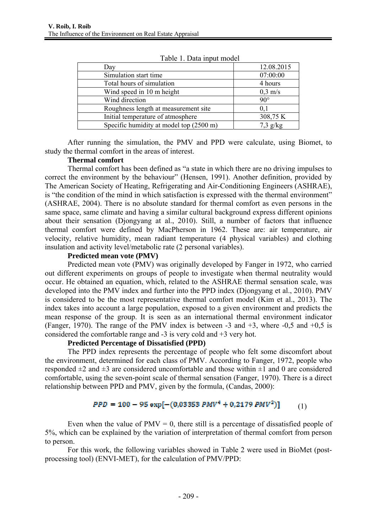| Day                                     | 12.08.2015 |
|-----------------------------------------|------------|
| Simulation start time                   | 07:00:00   |
| Total hours of simulation               | 4 hours    |
| Wind speed in 10 m height               | $0.3$ m/s  |
| Wind direction                          | $90^\circ$ |
| Roughness length at measurement site    | 0,1        |
| Initial temperature of atmosphere       | 308,75 K   |
| Specific humidity at model top (2500 m) | $7,3$ g/kg |

Table 1. Data input model

After running the simulation, the PMV and PPD were calculate, using Biomet, to study the thermal comfort in the areas of interest.

### **Thermal comfort**

Thermal comfort has been defined as "a state in which there are no driving impulses to correct the environment by the behaviour" (Hensen, 1991). Another definition, provided by The American Society of Heating, Refrigerating and Air-Conditioning Engineers (ASHRAE), is "the condition of the mind in which satisfaction is expressed with the thermal environment" (ASHRAE, 2004). There is no absolute standard for thermal comfort as even persons in the same space, same climate and having a similar cultural background express different opinions about their sensation (Djongyang at al., 2010). Still, a number of factors that influence thermal comfort were defined by MacPherson in 1962. These are: air temperature, air velocity, relative humidity, mean radiant temperature (4 physical variables) and clothing insulation and activity level/metabolic rate (2 personal variables).

### **Predicted mean vote (PMV)**

Predicted mean vote (PMV) was originally developed by Fanger in 1972, who carried out different experiments on groups of people to investigate when thermal neutrality would occur. He obtained an equation, which, related to the ASHRAE thermal sensation scale, was developed into the PMV index and further into the PPD index (Djongyang et al., 2010). PMV is considered to be the most representative thermal comfort model (Kim et al., 2013). The index takes into account a large population, exposed to a given environment and predicts the mean response of the group. It is seen as an international thermal environment indicator (Fanger, 1970). The range of the PMV index is between -3 and +3, where -0,5 and +0,5 is considered the comfortable range and -3 is very cold and +3 very hot.

# **Predicted Percentage of Dissatisfied (PPD)**

The PPD index represents the percentage of people who felt some discomfort about the environment, determined for each class of PMV. According to Fanger, 1972, people who responded  $\pm 2$  and  $\pm 3$  are considered uncomfortable and those within  $\pm 1$  and 0 are considered comfortable, using the seven-point scale of thermal sensation (Fanger, 1970). There is a direct relationship between PPD and PMV, given by the formula, (Candas, 2000):

$$
PPD = 100 - 95 \exp[-(0.03353 PMV^4 + 0.2179 PMV^2)] \tag{1}
$$

Even when the value of  $PMV = 0$ , there still is a percentage of dissatisfied people of 5%, which can be explained by the variation of interpretation of thermal comfort from person to person.

For this work, the following variables showed in Table 2 were used in BioMet (postprocessing tool) (ENVI-MET), for the calculation of PMV/PPD: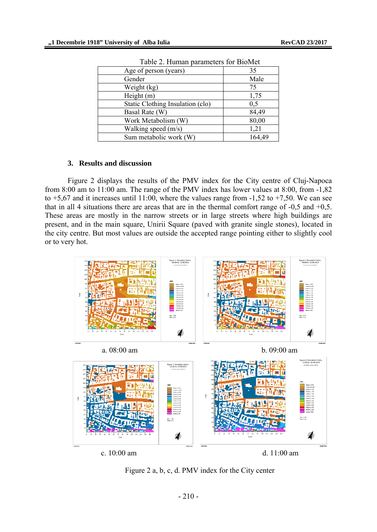| Age of person (years)            | 35     |
|----------------------------------|--------|
| Gender                           | Male   |
| Weight (kg)                      | 75     |
| Height $(m)$                     | 1,75   |
| Static Clothing Insulation (clo) | 0,5    |
| Basal Rate (W)                   | 84,49  |
| Work Metabolism (W)              | 80,00  |
| Walking speed (m/s)              | 1,21   |
| Sum metabolic work (W)           | 164,49 |

Table 2. Human parameters for BioMet

#### **3. Results and discussion**

Figure 2 displays the results of the PMV index for the City centre of Cluj-Napoca from 8:00 am to 11:00 am. The range of the PMV index has lower values at 8:00, from -1,82 to  $+5.67$  and it increases until 11:00, where the values range from  $-1.52$  to  $+7.50$ . We can see that in all 4 situations there are areas that are in the thermal comfort range of -0,5 and +0,5. These areas are mostly in the narrow streets or in large streets where high buildings are present, and in the main square, Unirii Square (paved with granite single stones), located in the city centre. But most values are outside the accepted range pointing either to slightly cool or to very hot.



Figure 2 a, b, c, d. PMV index for the City center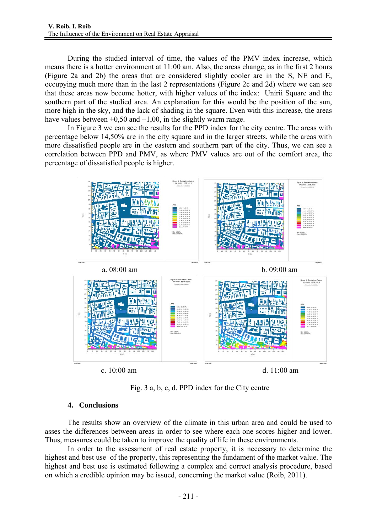During the studied interval of time, the values of the PMV index increase, which means there is a hotter environment at 11:00 am. Also, the areas change, as in the first 2 hours (Figure 2a and 2b) the areas that are considered slightly cooler are in the S, NE and E, occupying much more than in the last 2 representations (Figure 2c and 2d) where we can see that these areas now become hotter, with higher values of the index: Unirii Square and the southern part of the studied area. An explanation for this would be the position of the sun, more high in the sky, and the lack of shading in the square. Even with this increase, the areas have values between  $+0.50$  and  $+1.00$ , in the slightly warm range.

In Figure 3 we can see the results for the PPD index for the city centre. The areas with percentage below 14,50% are in the city square and in the larger streets, while the areas with more dissatisfied people are in the eastern and southern part of the city. Thus, we can see a correlation between PPD and PMV, as where PMV values are out of the comfort area, the percentage of dissatisfied people is higher.



Fig. 3 a, b, c, d. PPD index for the City centre

# **4. Conclusions**

The results show an overview of the climate in this urban area and could be used to asses the differences between areas in order to see where each one scores higher and lower. Thus, measures could be taken to improve the quality of life in these environments.

In order to the assessment of real estate property, it is necessary to determine the highest and best use of the property, this representing the fundament of the market value. The highest and best use is estimated following a complex and correct analysis procedure, based on which a credible opinion may be issued, concerning the market value (Roib, 2011).